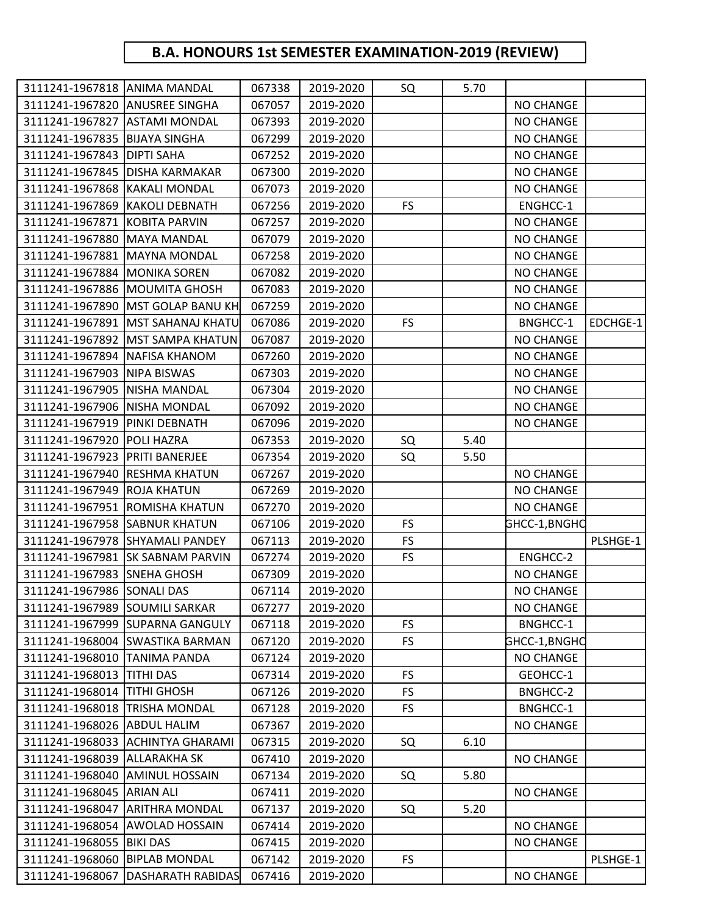## **B.A. HONOURS 1st SEMESTER EXAMINATION-2019 (REVIEW)**

| 3111241-1967818 ANIMA MANDAL     |                                    | 067338 | 2019-2020 | SQ        | 5.70 |                  |          |
|----------------------------------|------------------------------------|--------|-----------|-----------|------|------------------|----------|
| 3111241-1967820 ANUSREE SINGHA   |                                    | 067057 | 2019-2020 |           |      | <b>NO CHANGE</b> |          |
| 3111241-1967827 ASTAMI MONDAL    |                                    | 067393 | 2019-2020 |           |      | <b>NO CHANGE</b> |          |
| 3111241-1967835 BIJAYA SINGHA    |                                    | 067299 | 2019-2020 |           |      | NO CHANGE        |          |
| 3111241-1967843   DIPTI SAHA     |                                    | 067252 | 2019-2020 |           |      | <b>NO CHANGE</b> |          |
| 3111241-1967845   DISHA KARMAKAR |                                    | 067300 | 2019-2020 |           |      | <b>NO CHANGE</b> |          |
| 3111241-1967868 KAKALI MONDAL    |                                    | 067073 | 2019-2020 |           |      | <b>NO CHANGE</b> |          |
| 3111241-1967869 KAKOLI DEBNATH   |                                    | 067256 | 2019-2020 | <b>FS</b> |      | ENGHCC-1         |          |
| 3111241-1967871 KOBITA PARVIN    |                                    | 067257 | 2019-2020 |           |      | <b>NO CHANGE</b> |          |
| 3111241-1967880 MAYA MANDAL      |                                    | 067079 | 2019-2020 |           |      | <b>NO CHANGE</b> |          |
| 3111241-1967881 MAYNA MONDAL     |                                    | 067258 | 2019-2020 |           |      | <b>NO CHANGE</b> |          |
| 3111241-1967884 MONIKA SOREN     |                                    | 067082 | 2019-2020 |           |      | <b>NO CHANGE</b> |          |
|                                  | 3111241-1967886 MOUMITA GHOSH      | 067083 | 2019-2020 |           |      | <b>NO CHANGE</b> |          |
|                                  | 3111241-1967890 MST GOLAP BANU KH  | 067259 | 2019-2020 |           |      | <b>NO CHANGE</b> |          |
|                                  | 3111241-1967891 MST SAHANAJ KHATU  | 067086 | 2019-2020 | <b>FS</b> |      | BNGHCC-1         | EDCHGE-1 |
|                                  | 3111241-1967892   MST SAMPA KHATUN | 067087 | 2019-2020 |           |      | <b>NO CHANGE</b> |          |
| 3111241-1967894 NAFISA KHANOM    |                                    | 067260 | 2019-2020 |           |      | <b>NO CHANGE</b> |          |
| 3111241-1967903 NIPA BISWAS      |                                    | 067303 | 2019-2020 |           |      | <b>NO CHANGE</b> |          |
| 3111241-1967905 NISHA MANDAL     |                                    | 067304 | 2019-2020 |           |      | <b>NO CHANGE</b> |          |
| 3111241-1967906 NISHA MONDAL     |                                    | 067092 | 2019-2020 |           |      | <b>NO CHANGE</b> |          |
| 3111241-1967919 PINKI DEBNATH    |                                    | 067096 | 2019-2020 |           |      | <b>NO CHANGE</b> |          |
| 3111241-1967920 POLI HAZRA       |                                    | 067353 | 2019-2020 | SQ        | 5.40 |                  |          |
| 3111241-1967923 PRITI BANERJEE   |                                    | 067354 | 2019-2020 | SQ        | 5.50 |                  |          |
| 3111241-1967940 RESHMA KHATUN    |                                    | 067267 | 2019-2020 |           |      | <b>NO CHANGE</b> |          |
| 3111241-1967949 ROJA KHATUN      |                                    | 067269 | 2019-2020 |           |      | <b>NO CHANGE</b> |          |
|                                  | 3111241-1967951 ROMISHA KHATUN     | 067270 | 2019-2020 |           |      | <b>NO CHANGE</b> |          |
| 3111241-1967958 SABNUR KHATUN    |                                    | 067106 | 2019-2020 | <b>FS</b> |      | GHCC-1,BNGHC     |          |
|                                  | 3111241-1967978 SHYAMALI PANDEY    | 067113 | 2019-2020 | <b>FS</b> |      |                  | PLSHGE-1 |
|                                  | 3111241-1967981 SK SABNAM PARVIN   | 067274 | 2019-2020 | <b>FS</b> |      | ENGHCC-2         |          |
| 3111241-1967983 SNEHA GHOSH      |                                    | 067309 | 2019-2020 |           |      | <b>NO CHANGE</b> |          |
| 3111241-1967986 SONALI DAS       |                                    | 067114 | 2019-2020 |           |      | <b>NO CHANGE</b> |          |
| 3111241-1967989 SOUMILI SARKAR   |                                    | 067277 | 2019-2020 |           |      | <b>NO CHANGE</b> |          |
|                                  | 3111241-1967999 SUPARNA GANGULY    | 067118 | 2019-2020 | <b>FS</b> |      | BNGHCC-1         |          |
|                                  | 3111241-1968004 SWASTIKA BARMAN    | 067120 | 2019-2020 | FS        |      | GHCC-1,BNGHC     |          |
| 3111241-1968010   TANIMA PANDA   |                                    | 067124 | 2019-2020 |           |      | <b>NO CHANGE</b> |          |
| 3111241-1968013 TITHI DAS        |                                    | 067314 | 2019-2020 | <b>FS</b> |      | GEOHCC-1         |          |
| 3111241-1968014 TITHI GHOSH      |                                    | 067126 | 2019-2020 | <b>FS</b> |      | BNGHCC-2         |          |
| 3111241-1968018 TRISHA MONDAL    |                                    | 067128 | 2019-2020 | <b>FS</b> |      | <b>BNGHCC-1</b>  |          |
| 3111241-1968026 ABDUL HALIM      |                                    | 067367 | 2019-2020 |           |      | NO CHANGE        |          |
|                                  | 3111241-1968033 ACHINTYA GHARAMI   | 067315 | 2019-2020 | SQ        | 6.10 |                  |          |
| 3111241-1968039 ALLARAKHA SK     |                                    | 067410 | 2019-2020 |           |      | <b>NO CHANGE</b> |          |
| 3111241-1968040 AMINUL HOSSAIN   |                                    | 067134 | 2019-2020 | SQ        | 5.80 |                  |          |
| 3111241-1968045 ARIAN ALI        |                                    | 067411 | 2019-2020 |           |      | <b>NO CHANGE</b> |          |
|                                  | 3111241-1968047 ARITHRA MONDAL     | 067137 | 2019-2020 | SQ        | 5.20 |                  |          |
|                                  | 3111241-1968054 AWOLAD HOSSAIN     | 067414 | 2019-2020 |           |      | <b>NO CHANGE</b> |          |
| 3111241-1968055 BIKI DAS         |                                    | 067415 | 2019-2020 |           |      | <b>NO CHANGE</b> |          |
| 3111241-1968060                  | <b>BIPLAB MONDAL</b>               | 067142 | 2019-2020 | FS        |      |                  | PLSHGE-1 |
| 3111241-1968067                  | <b>DASHARATH RABIDAS</b>           | 067416 | 2019-2020 |           |      | <b>NO CHANGE</b> |          |
|                                  |                                    |        |           |           |      |                  |          |